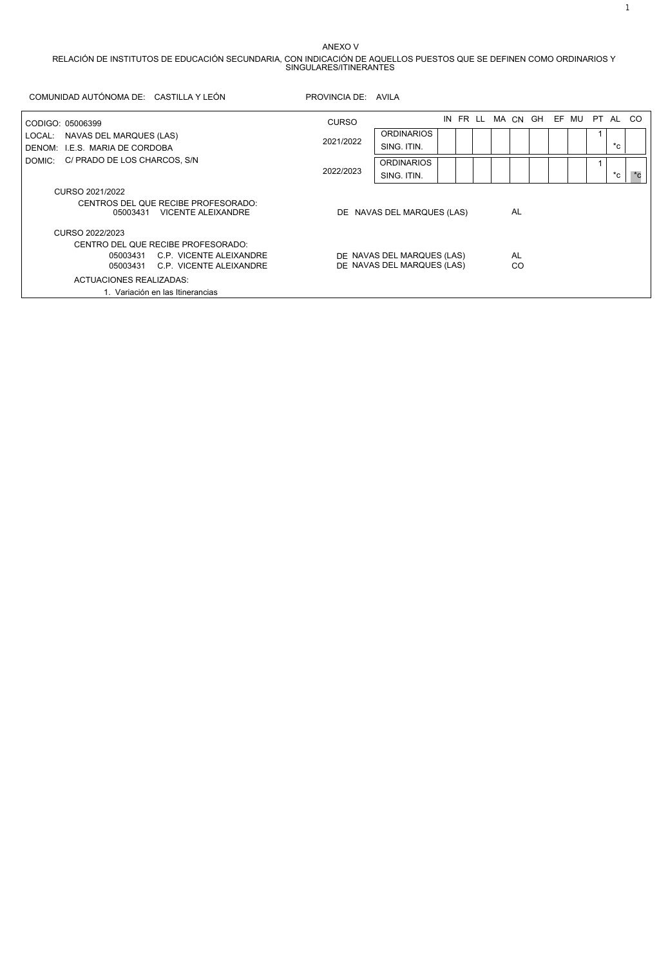## ANEXO V

RELACIÓN DE INSTITUTOS DE EDUCACIÓN SECUNDARIA, CON INDICACIÓN DE AQUELLOS PUESTOS QUE SE DEFINEN COMO ORDINARIOS Y SINGULARES/ITINERANTES

| COMUNIDAD AUTÓNOMA DE: CASTILLA Y LEÓN                             | PROVINCIA DE: AVILA              |                            |    |  |  |  |    |  |                              |             |             |
|--------------------------------------------------------------------|----------------------------------|----------------------------|----|--|--|--|----|--|------------------------------|-------------|-------------|
| CODIGO: 05006399                                                   | <b>CURSO</b>                     |                            | IN |  |  |  |    |  | FR LL MACN GH EF MU PT AL CO |             |             |
| NAVAS DEL MARQUES (LAS)<br>LOCAL:                                  |                                  | <b>ORDINARIOS</b>          |    |  |  |  |    |  |                              |             |             |
| DENOM: I.E.S. MARIA DE CORDOBA                                     | 2021/2022                        | SING, ITIN.                |    |  |  |  |    |  |                              | $^{\ast}$ c |             |
| C/ PRADO DE LOS CHARCOS, S/N<br>DOMIC:                             | 2022/2023                        | <b>ORDINARIOS</b>          |    |  |  |  |    |  |                              |             |             |
|                                                                    |                                  | SING. ITIN.                |    |  |  |  |    |  |                              | $^{\ast}$ c | $^{\ast}$ c |
| CURSO 2021/2022                                                    |                                  |                            |    |  |  |  |    |  |                              |             |             |
| CENTROS DEL QUE RECIBE PROFESORADO:<br>05003431 VICENTE ALEIXANDRE | DE NAVAS DEL MARQUES (LAS)       |                            |    |  |  |  | AL |  |                              |             |             |
| CURSO 2022/2023                                                    |                                  |                            |    |  |  |  |    |  |                              |             |             |
| CENTRO DEL QUE RECIBE PROFESORADO:                                 |                                  |                            |    |  |  |  |    |  |                              |             |             |
| C.P. VICENTE ALEIXANDRE<br>05003431                                |                                  | DE NAVAS DEL MARQUES (LAS) |    |  |  |  | AL |  |                              |             |             |
| C.P. VICENTE ALEIXANDRE<br>05003431                                | DE NAVAS DEL MARQUES (LAS)<br>CO |                            |    |  |  |  |    |  |                              |             |             |
| ACTUACIONES REALIZADAS:                                            |                                  |                            |    |  |  |  |    |  |                              |             |             |
| 1. Variación en las Itinerancias                                   |                                  |                            |    |  |  |  |    |  |                              |             |             |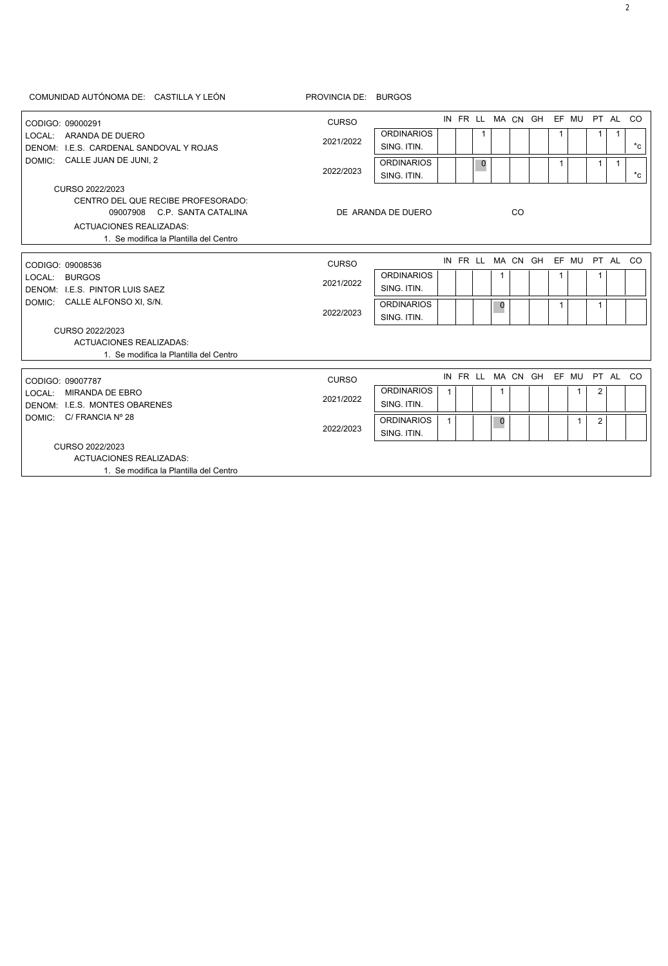|                                                                     | COMUNIDAD AUTÓNOMA DE: CASTILLA Y LEÓN                             | PROVINCIA DE: BURGOS |                    |              |             |           |                                  |                                  |   |              |                |              |              |
|---------------------------------------------------------------------|--------------------------------------------------------------------|----------------------|--------------------|--------------|-------------|-----------|----------------------------------|----------------------------------|---|--------------|----------------|--------------|--------------|
| CODIGO: 09000291                                                    |                                                                    | <b>CURSO</b>         |                    |              |             |           |                                  | IN FR LL MA CN GH EF MU PT AL CO |   |              |                |              |              |
|                                                                     | LOCAL: ARANDA DE DUERO                                             |                      | <b>ORDINARIOS</b>  |              | 1           |           |                                  |                                  | 1 |              | 1              | $\mathbf{1}$ |              |
|                                                                     | DENOM: I.E.S. CARDENAL SANDOVAL Y ROJAS                            | 2021/2022            | SING. ITIN.        |              |             |           |                                  |                                  |   |              |                |              | $^{\star}$ c |
|                                                                     | DOMIC: CALLE JUAN DE JUNI, 2                                       |                      | <b>ORDINARIOS</b>  |              | $\mathbf 0$ |           |                                  |                                  | 1 |              | $\mathbf{1}$   | $\mathbf{1}$ |              |
|                                                                     |                                                                    | 2022/2023            | SING, ITIN.        |              |             |           |                                  |                                  |   |              |                |              | $^{\star}$ c |
|                                                                     | CURSO 2022/2023                                                    |                      |                    |              |             |           |                                  |                                  |   |              |                |              |              |
|                                                                     | CENTRO DEL QUE RECIBE PROFESORADO:<br>09007908 C.P. SANTA CATALINA |                      | DE ARANDA DE DUERO |              |             |           | CO                               |                                  |   |              |                |              |              |
|                                                                     | <b>ACTUACIONES REALIZADAS:</b>                                     |                      |                    |              |             |           |                                  |                                  |   |              |                |              |              |
|                                                                     | 1. Se modifica la Plantilla del Centro                             |                      |                    |              |             |           |                                  |                                  |   |              |                |              |              |
| CODIGO: 09008536<br>LOCAL: BURGOS<br>DENOM: I.E.S. PINTOR LUIS SAEZ |                                                                    |                      |                    |              |             |           | IN FR LL MA CN GH EF MU PT AL CO |                                  |   |              |                |              |              |
|                                                                     | <b>CURSO</b>                                                       | <b>ORDINARIOS</b>    |                    |              |             |           |                                  |                                  |   |              |                |              |              |
|                                                                     | 2021/2022                                                          | SING. ITIN.          |                    |              | 1           |           |                                  | 1                                |   | 1            |                |              |              |
|                                                                     | DOMIC: CALLE ALFONSO XI, S/N.                                      |                      | <b>ORDINARIOS</b>  |              |             |           |                                  |                                  |   |              |                |              |              |
|                                                                     |                                                                    | 2022/2023            | SING. ITIN.        |              |             | $\pmb{0}$ |                                  |                                  | 1 |              | 1              |              |              |
|                                                                     | CURSO 2022/2023                                                    |                      |                    |              |             |           |                                  |                                  |   |              |                |              |              |
|                                                                     | <b>ACTUACIONES REALIZADAS:</b>                                     |                      |                    |              |             |           |                                  |                                  |   |              |                |              |              |
|                                                                     | 1. Se modifica la Plantilla del Centro                             |                      |                    |              |             |           |                                  |                                  |   |              |                |              |              |
| CODIGO: 09007787                                                    |                                                                    | <b>CURSO</b>         |                    |              |             |           |                                  | IN FR LL MA CN GH EF MU PT AL CO |   |              |                |              |              |
| LOCAL: MIRANDA DE EBRO                                              |                                                                    |                      | <b>ORDINARIOS</b>  | $\mathbf{1}$ |             | 1         |                                  |                                  |   | $\mathbf{1}$ | 2              |              |              |
|                                                                     | DENOM: I.E.S. MONTES OBARENES                                      | 2021/2022            | SING. ITIN.        |              |             |           |                                  |                                  |   |              |                |              |              |
| DOMIC: C/ FRANCIA Nº 28                                             |                                                                    |                      | <b>ORDINARIOS</b>  | $\mathbf{1}$ |             | $\pmb{0}$ |                                  |                                  |   | $\mathbf{1}$ | $\overline{2}$ |              |              |
|                                                                     | 2022/2023                                                          | SING. ITIN.          |                    |              |             |           |                                  |                                  |   |              |                |              |              |
|                                                                     | CURSO 2022/2023                                                    |                      |                    |              |             |           |                                  |                                  |   |              |                |              |              |
|                                                                     | <b>ACTUACIONES REALIZADAS:</b>                                     |                      |                    |              |             |           |                                  |                                  |   |              |                |              |              |
|                                                                     | 1. Se modifica la Plantilla del Centro                             |                      |                    |              |             |           |                                  |                                  |   |              |                |              |              |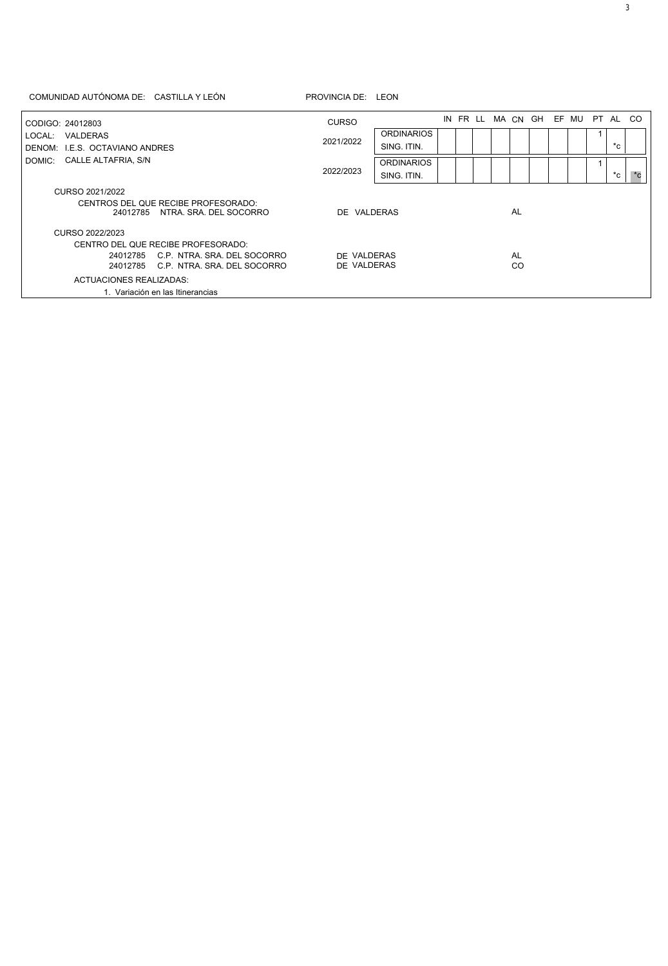## COMUNIDAD AUTÓNOMA DE: CASTILLA Y LEÓN PROVINCIA DE: LEON

| CODIGO: 24012803           |                                            |                                                               | <b>CURSO</b>               |                   |  | IN FR LL |  |          | MACN GH EF MU |  | PT AL CO |                    |  |
|----------------------------|--------------------------------------------|---------------------------------------------------------------|----------------------------|-------------------|--|----------|--|----------|---------------|--|----------|--------------------|--|
| LOCAL:                     | VALDERAS<br>DENOM: I.E.S. OCTAVIANO ANDRES |                                                               |                            | <b>ORDINARIOS</b> |  |          |  |          |               |  |          |                    |  |
|                            |                                            |                                                               | 2021/2022                  | SING. ITIN.       |  |          |  |          |               |  |          | *c                 |  |
| DOMIC: CALLE ALTAFRIA, S/N |                                            |                                                               | <b>ORDINARIOS</b>          |                   |  |          |  |          |               |  |          | $\boldsymbol{C}^*$ |  |
|                            |                                            |                                                               | 2022/2023                  | SING, ITIN.       |  |          |  |          |               |  |          | $^{\ast}$ c        |  |
|                            | CURSO 2021/2022                            |                                                               |                            |                   |  |          |  |          |               |  |          |                    |  |
|                            | 24012785                                   | CENTROS DEL QUE RECIBE PROFESORADO:<br>NTRA. SRA. DEL SOCORRO | DE VALDERAS                |                   |  |          |  | AL       |               |  |          |                    |  |
|                            | CURSO 2022/2023                            |                                                               |                            |                   |  |          |  |          |               |  |          |                    |  |
|                            |                                            | CENTRO DEL QUE RECIBE PROFESORADO:                            |                            |                   |  |          |  |          |               |  |          |                    |  |
|                            | 24012785<br>24012785                       | C.P. NTRA, SRA, DEL SOCORRO<br>C.P. NTRA. SRA. DEL SOCORRO    | DE VALDERAS<br>DE VALDERAS |                   |  |          |  | AL<br>CO |               |  |          |                    |  |
|                            | ACTUACIONES REALIZADAS:                    |                                                               |                            |                   |  |          |  |          |               |  |          |                    |  |
|                            |                                            | 1. Variación en las Itinerancias                              |                            |                   |  |          |  |          |               |  |          |                    |  |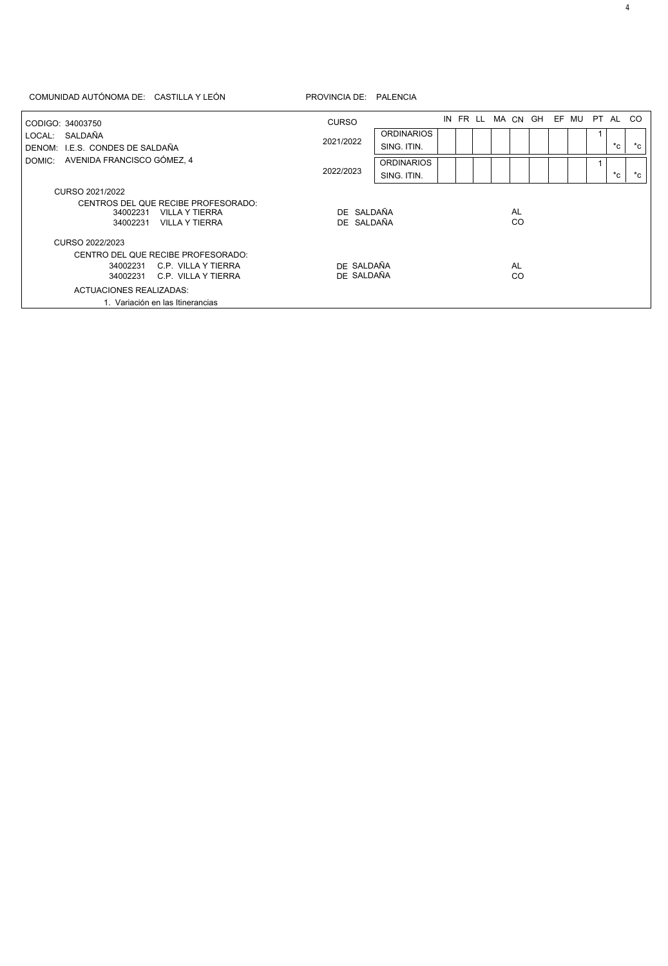| CODIGO: 34003750<br>LOCAL: SALDAÑA<br>DENOM: I.E.S. CONDES DE SALDAÑA<br>AVENIDA FRANCISCO GÓMEZ, 4<br>DOMIC: | <b>CURSO</b><br>2021/2022                                                  | <b>ORDINARIOS</b><br>SING. ITIN.<br><b>ORDINARIOS</b> |  |  |  |                 | MACN GH EF MU |  | PT AL<br>$^{\star}$ c | <sub>co</sub><br>*c |
|---------------------------------------------------------------------------------------------------------------|----------------------------------------------------------------------------|-------------------------------------------------------|--|--|--|-----------------|---------------|--|-----------------------|---------------------|
|                                                                                                               | 2022/2023                                                                  | SING. ITIN.                                           |  |  |  |                 |               |  | $^*c$ .               | *c                  |
| CURSO 2021/2022                                                                                               |                                                                            |                                                       |  |  |  |                 |               |  |                       |                     |
| CENTROS DEL QUE RECIBE PROFESORADO:<br>34002231<br>34002231                                                   | DE SALDAÑA<br><b>VILLA Y TIERRA</b><br>DE SALDAÑA<br><b>VILLA Y TIERRA</b> |                                                       |  |  |  | <b>AL</b><br>CO |               |  |                       |                     |
| CURSO 2022/2023                                                                                               |                                                                            |                                                       |  |  |  |                 |               |  |                       |                     |
| CENTRO DEL QUE RECIBE PROFESORADO:                                                                            |                                                                            |                                                       |  |  |  |                 |               |  |                       |                     |
| 34002231<br>34002231                                                                                          | DE SALDAÑA<br>C.P. VILLA Y TIERRA<br>DE SALDAÑA<br>C.P. VILLA Y TIERRA     |                                                       |  |  |  | <b>AL</b><br>CO |               |  |                       |                     |
| <b>ACTUACIONES REALIZADAS:</b>                                                                                |                                                                            |                                                       |  |  |  |                 |               |  |                       |                     |
| 1. Variación en las Itinerancias                                                                              |                                                                            |                                                       |  |  |  |                 |               |  |                       |                     |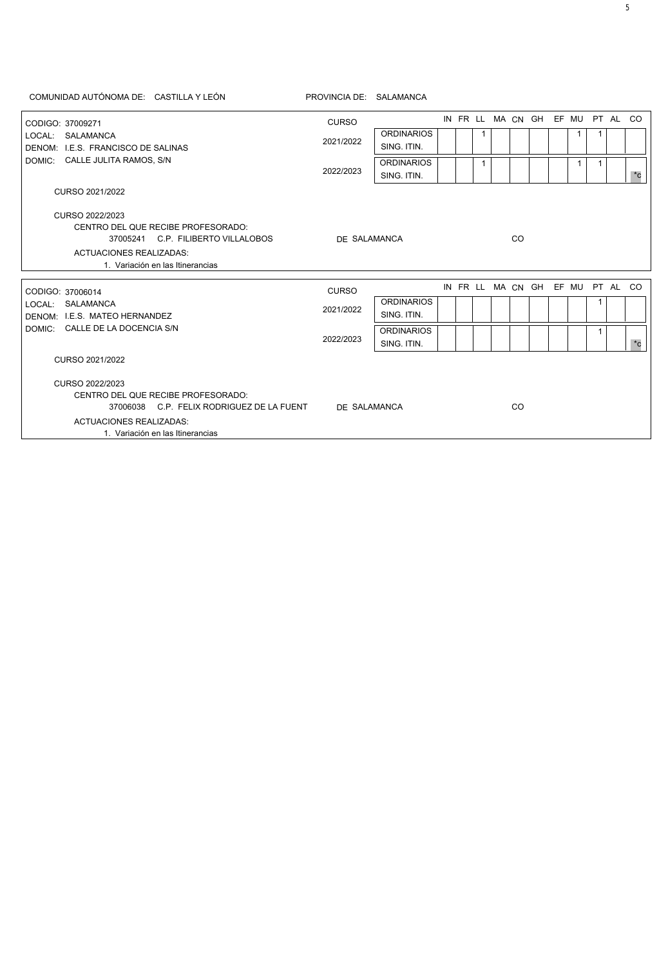| COMUNIDAD AUTÓNOMA DE: CASTILLA Y LEÓN                             | PROVINCIA DE: SALAMANCA |                   |  |  |   |  |    |                                  |  |              |   |              |
|--------------------------------------------------------------------|-------------------------|-------------------|--|--|---|--|----|----------------------------------|--|--------------|---|--------------|
| CODIGO: 37009271                                                   | <b>CURSO</b>            |                   |  |  |   |  |    | IN FR LL MA CN GH EF MU PT AL CO |  |              |   |              |
| LOCAL: SALAMANCA                                                   |                         | <b>ORDINARIOS</b> |  |  | 1 |  |    |                                  |  | 1            |   |              |
| DENOM: I.E.S. FRANCISCO DE SALINAS                                 | 2021/2022               | SING. ITIN.       |  |  |   |  |    |                                  |  |              |   |              |
| DOMIC: CALLE JULITA RAMOS, S/N                                     |                         | <b>ORDINARIOS</b> |  |  | 1 |  |    |                                  |  | $\mathbf{1}$ | 1 |              |
|                                                                    | 2022/2023               | SING. ITIN.       |  |  |   |  |    |                                  |  |              |   | $^{\star}$ c |
| CURSO 2021/2022                                                    |                         |                   |  |  |   |  |    |                                  |  |              |   |              |
| CURSO 2022/2023                                                    |                         |                   |  |  |   |  |    |                                  |  |              |   |              |
| CENTRO DEL QUE RECIBE PROFESORADO:                                 |                         |                   |  |  |   |  |    |                                  |  |              |   |              |
| 37005241 C.P. FILIBERTO VILLALOBOS                                 | DE SALAMANCA            |                   |  |  |   |  | CO |                                  |  |              |   |              |
| <b>ACTUACIONES REALIZADAS:</b>                                     |                         |                   |  |  |   |  |    |                                  |  |              |   |              |
| 1. Variación en las Itinerancias                                   |                         |                   |  |  |   |  |    |                                  |  |              |   |              |
| CODIGO: 37006014                                                   | <b>CURSO</b>            |                   |  |  |   |  |    | IN FR LL MA CN GH EF MU PT AL CO |  |              |   |              |
| LOCAL: SALAMANCA                                                   |                         | <b>ORDINARIOS</b> |  |  |   |  |    |                                  |  |              |   |              |
| DENOM: I.E.S. MATEO HERNANDEZ                                      | 2021/2022               | SING. ITIN.       |  |  |   |  |    |                                  |  |              |   |              |
| DOMIC: CALLE DE LA DOCENCIA S/N                                    |                         | <b>ORDINARIOS</b> |  |  |   |  |    |                                  |  |              | 1 |              |
|                                                                    | 2022/2023               | SING. ITIN.       |  |  |   |  |    |                                  |  |              |   | $^{\ast}$ c  |
| CURSO 2021/2022                                                    |                         |                   |  |  |   |  |    |                                  |  |              |   |              |
| CURSO 2022/2023<br>CENTRO DEL QUE RECIBE PROFESORADO:              |                         |                   |  |  |   |  |    |                                  |  |              |   |              |
| 37006038 C.P. FELIX RODRIGUEZ DE LA FUENT                          | DE SALAMANCA            |                   |  |  |   |  | CO |                                  |  |              |   |              |
| <b>ACTUACIONES REALIZADAS:</b><br>1. Variación en las Itinerancias |                         |                   |  |  |   |  |    |                                  |  |              |   |              |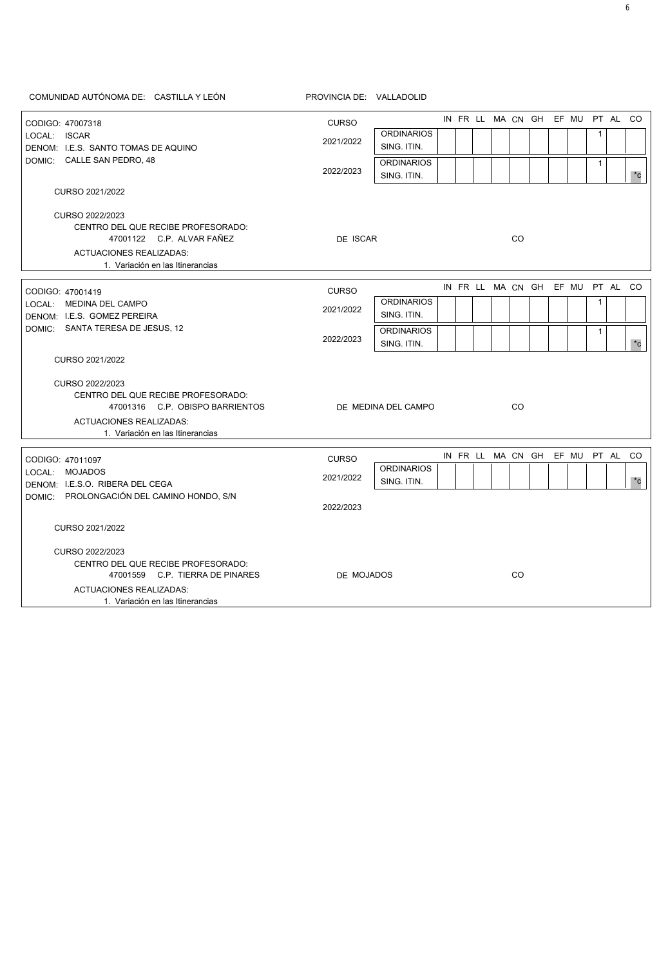CODIGO: 47007318 CODIGO: 47001419 CODIGO: 47011097 DOMIC: CALLE SAN PEDRO, 48 DOMIC: SANTA TERESA DE JESUS, 12 DOMIC: PROLONGACIÓN DEL CAMINO HONDO, S/N LOCAL: ISCAR LOCAL: MEDINA DEL CAMPO LOCAL: MOJADOS DENOM: I.E.S. SANTO TOMAS DE AQUINO DENOM: I.E.S. GOMEZ PEREIRA DENOM: I.E.S.O. RIBERA DEL CEGA IN FR LL MA CN GH EF MU PT AL CO IN FRILL MAICN GHI EF MUI PT ALICO EF MU PT AL IN FR LL MA CN GH **ORDINARIOS** ORDINARIOS ORDINARIOS SING. ITIN. SING. ITIN. SING. ITIN. **ORDINARIOS** ORDINARIOS SING. ITIN. SING. ITIN. 1 1 1 1 2021/2022 2021/2022 2021/2022 2022/2023 2022/2023 2022/2023 CENTRO DEL QUE RECIBE PROFESORADO: CENTRO DEL QUE RECIBE PROFESORADO: CENTRO DEL QUE RECIBE PROFESORADO: 47001122 C.P. ALVAR FAÑEZ 47001316 C.P. OBISPO BARRIENTOS 47001559 C.P. TIERRA DE PINARES CO CO CO ACTUACIONES REALIZADAS: ACTUACIONES REALIZADAS: ACTUACIONES REALIZADAS: 1. Variación en las Itinerancias 1. Variación en las Itinerancias DE ISCAR DE MEDINA DEL CAMPO DE MOJADOS CURSO CURSO CURSO CO \*c \*c \*c CURSO 2022/2023 CURSO 2022/2023 CURSO 2022/2023 CURSO 2021/2022 CURSO 2021/2022 CURSO 2021/2022

COMUNIDAD AUTÓNOMA DE: CASTILLA Y LEÓN PROVINCIA DE: VALLADOLID

1. Variación en las Itinerancias

6